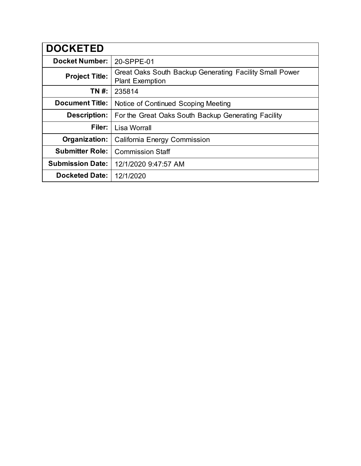| <b>DOCKETED</b>         |                                                                                   |
|-------------------------|-----------------------------------------------------------------------------------|
| <b>Docket Number:</b>   | 20-SPPE-01                                                                        |
| <b>Project Title:</b>   | Great Oaks South Backup Generating Facility Small Power<br><b>Plant Exemption</b> |
| TN #:                   | 235814                                                                            |
| <b>Document Title:</b>  | Notice of Continued Scoping Meeting                                               |
| <b>Description:</b>     | For the Great Oaks South Backup Generating Facility                               |
| Filer:                  | Lisa Worrall                                                                      |
| Organization:           | California Energy Commission                                                      |
| <b>Submitter Role:</b>  | <b>Commission Staff</b>                                                           |
| <b>Submission Date:</b> | 12/1/2020 9:47:57 AM                                                              |
| <b>Docketed Date:</b>   | 12/1/2020                                                                         |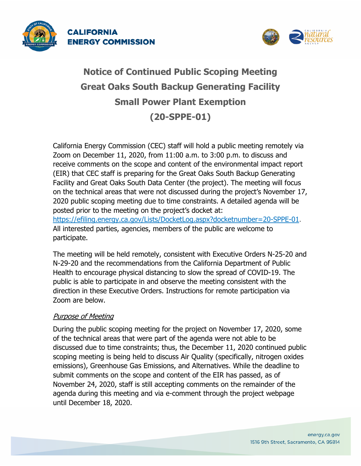



# **Notice of Continued Public Scoping Meeting Great Oaks South Backup Generating Facility Small Power Plant Exemption (20-SPPE-01)**

California Energy Commission (CEC) staff will hold a public meeting remotely via Zoom on December 11, 2020, from 11:00 a.m. to 3:00 p.m. to discuss and receive comments on the scope and content of the environmental impact report (EIR) that CEC staff is preparing for the Great Oaks South Backup Generating Facility and Great Oaks South Data Center (the project). The meeting will focus on the technical areas that were not discussed during the project's November 17, 2020 public scoping meeting due to time constraints. A detailed agenda will be posted prior to the meeting on the project's docket at: [https://efiling.energy.ca.gov/Lists/DocketLog.aspx?docketnumber=20-SPPE-01.](https://efiling.energy.ca.gov/Lists/DocketLog.aspx?docketnumber=20-SPPE-01) All interested parties, agencies, members of the public are welcome to participate.

The meeting will be held remotely, consistent with Executive Orders N-25-20 and N-29-20 and the recommendations from the California Department of Public Health to encourage physical distancing to slow the spread of COVID-19. The public is able to participate in and observe the meeting consistent with the direction in these Executive Orders. Instructions for remote participation via Zoom are below.

## Purpose of Meeting

During the public scoping meeting for the project on November 17, 2020, some of the technical areas that were part of the agenda were not able to be discussed due to time constraints; thus, the December 11, 2020 continued public scoping meeting is being held to discuss Air Quality (specifically, nitrogen oxides emissions), Greenhouse Gas Emissions, and Alternatives. While the deadline to submit comments on the scope and content of the EIR has passed, as of November 24, 2020, staff is still accepting comments on the remainder of the agenda during this meeting and via e-comment through the project webpage until December 18, 2020.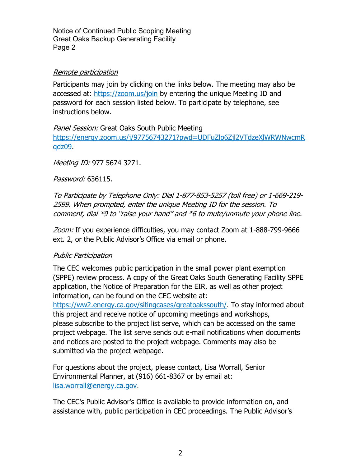Notice of Continued Public Scoping Meeting Great Oaks Backup Generating Facility Page 2

### Remote participation

Participants may join by clicking on the links below. The meeting may also be accessed at:<https://zoom.us/join> by entering the unique Meeting ID and password for each session listed below. To participate by telephone, see instructions below.

Panel Session: Great Oaks South Public Meeting [https://energy.zoom.us/j/97756743271?pwd=UDFuZlp6Zjl2VTdzeXlWRWNwcmR](https://energy.zoom.us/j/97756743271?pwd=UDFuZlp6Zjl2VTdzeXlWRWNwcmRqdz09) [qdz09.](https://energy.zoom.us/j/97756743271?pwd=UDFuZlp6Zjl2VTdzeXlWRWNwcmRqdz09)

Meeting ID: 977 5674 3271.

Password: 636115.

To Participate by Telephone Only: Dial 1-877-853-5257 (toll free) or 1-669-219- 2599. When prompted, enter the unique Meeting ID for the session. To comment, dial \*9 to "raise your hand" and \*6 to mute/unmute your phone line.

Zoom: If you experience difficulties, you may contact Zoom at 1-888-799-9666 ext. 2, or the Public Advisor's Office via email or phone.

#### Public Participation

The CEC welcomes public participation in the small power plant exemption (SPPE) review process. A copy of the Great Oaks South Generating Facility SPPE application, the Notice of Preparation for the EIR, as well as other project information, can be found on the CEC website at:

[https://ww2.energy.ca.gov/sitingcases/greatoakssouth/.](https://ww2.energy.ca.gov/sitingcases/greatoakssouth/) To stay informed about this project and receive notice of upcoming meetings and workshops, please subscribe to the project list serve, which can be accessed on the same project webpage. The list serve sends out e-mail notifications when documents and notices are posted to the project webpage. Comments may also be submitted via the project webpage.

For questions about the project, please contact, Lisa Worrall, Senior Environmental Planner, at (916) 661-8367 or by email at: [lisa.worrall@energy.ca.gov.](mailto:lisa.worrall@energy.ca.gov)

The CEC's Public Advisor's Office is available to provide information on, and assistance with, public participation in CEC proceedings. The Public Advisor's